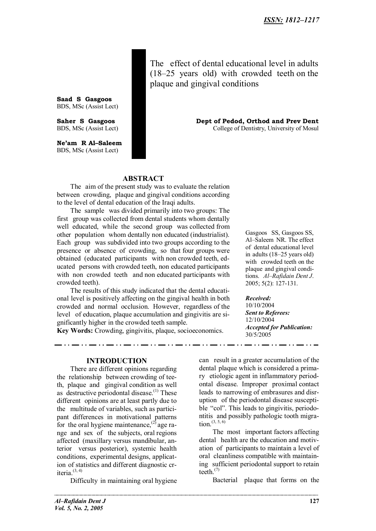**Saad S Gasgoos** BDS, MSc (Assist Lect)

**Ne'am R Al–Saleem** BDS, MSc (Assist Lect)

The effect of dental educational level in adults (18–25 years old) with crowded teeth on the plaque and gingival conditions

**Saher S Gasgoos Dept of Pedod, Orthod and Prev Dent** BDS, MSc (Assist Lect) College of Dentistry, University of Mosul

## **ABSTRACT**

The aim of the present study was to evaluate the relation between crowding, plaque and gingival conditions according to the level of dental education of the Iraqi adults.

The sample was divided primarily into two groups: The first group was collected from dental students whom dentally well educated, while the second group was collected from other population whom dentally non educated (industrialist). Each group was subdivided into two groups according to the presence or absence of crowding, so that four groups were obtained (educated participants with non crowded teeth, educated persons with crowded teeth, non educated participants with non crowded teeth and non educated participants with crowded teeth).

The results of this study indicated that the dental educational level is positively affecting on the gingival health in both crowded and normal occlusion. However, regardless of the level of education, plaque accumulation and gingivitis are significantly higher in the crowded teeth sample.

**Key Words:** Crowding, gingivitis, plaque, socioeconomics.

. . . . . . . .

Gasgoos SS, Gasgoos SS, Al–Saleem NR. The effect of dental educational level in adults (18–25 years old) with crowded teeth on the plaque and gingival conditions. *Al–Rafidain Dent J*. 2005; 5(2): 127-131.

*Received:*

2002 B

10/10/2004 *Sent to Referees:* 12/10/2004 *Accepted for Publication:* 30/5/2005

. . . . . . . .

### **INTRODUCTION**

There are different opinions regarding the relationship between crowding of teeth, plaque and gingival condition as well as destructive periodontal disease.<sup>(1)</sup> These different opinions are at least partly due to the multitude of variables, such as participant differences in motivational patterns for the oral hygiene maintenance,  $^{(2)}$  age range and sex of the subjects, oral regions affected (maxillary versus mandibular, anterior versus posterior), systemic health conditions, experimental designs, application of statistics and different diagnostic criteria.(3, 4)

Difficulty in maintaining oral hygiene

can result in a greater accumulation of the dental plaque which is considered a primary etiologic agent in inflammatory periodontal disease. Improper proximal contact leads to narrowing of embrasures and disruption of the periodontal disease susceptible "col". This leads to gingivitis, periodontitis and possibly pathologic tooth migration.  $(3, 5, 6)$ 

The most important factors affecting dental health are the education and motivation of participants to maintain a level of oral cleanliness compatible with maintaining sufficient periodontal support to retain teeth $(7)$ 

Bacterial plaque that forms on the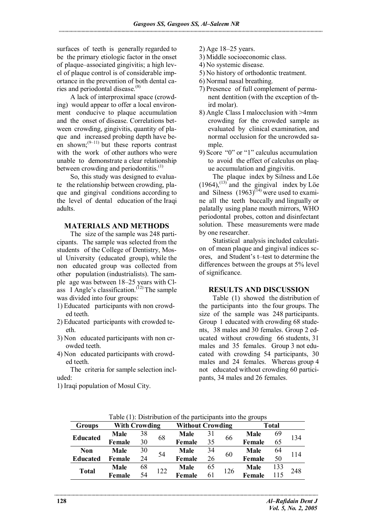surfaces of teeth is generally regarded to be the primary etiologic factor in the onset of plaque–associated gingivitis; a high level of plaque control is of considerable importance in the prevention of both dental caries and periodontal disease.<sup>(8)</sup>

A lack of interproximal space (crowding) would appear to offer a local environment conducive to plaque accumulation and the onset of disease. Correlations between crowding, gingivitis, quantity of plaque and increased probing depth have been shown; $^{(9-11)}$  but these reports contrast with the work of other authors who were unable to demonstrate a clear relationship between crowding and periodontitis. $(1)$ 

So, this study was designed to evaluate the relationship between crowding, plaque and gingival conditions according to the level of dental education of the Iraqi adults.

### **MATERIALS AND METHODS**

The size of the sample was 248 participants. The sample was selected from the students of the College of Dentistry, Mosul University (educated group), while the non educated group was collected from other population (industrialists). The sample age was between 18–25 years with Class I Angle's classification.<sup> $(12)$ </sup> The sample was divided into four groups:

- 1) Educated participants with non crowded teeth.
- 2) Educated participants with crowded teeth.
- 3) Non educated participants with non crowded teeth.
- 4) Non educated participants with crowded teeth.

The criteria for sample selection included:

1) Iraqi population of Mosul City.

- 2) Age 18–25 years.
- 3) Middle socioeconomic class.
- 4) No systemic disease.
- 5) No history of orthodontic treatment.
- 6) Normal nasal breathing.
- 7) Presence of full complement of permanent dentition (with the exception of third molar).
- 8) Angle Class I malocclusion with >4mm crowding for the crowded sample as evaluated by clinical examination, and normal occlusion for the uncrowded sample.
- 9) Score "0" or "1" calculus accumulation to avoid the effect of calculus on plaque accumulation and gingivitis.

The plaque index by Silness and Löe  $(1964)$ ,<sup>(13)</sup> and the gingival index by Löe and Silness  $(1963)^{(14)}$  were used to examine all the teeth buccally and lingually or palatally using plane mouth mirrors, WHO periodontal probes, cotton and disinfectant solution. These measurements were made by one researcher.

Statistical analysis included calculation of mean plaque and gingival indices scores, and Student's t–test to determine the differences between the groups at 5% level of significance.

### **RESULTS AND DISCUSSION**

Table (1) showed the distribution of the participants into the four groups. The size of the sample was 248 participants. Group 1 educated with crowding 68 students, 38 males and 30 females. Group 2 educated without crowding 66 students, 31 males and 35 females. Group 3 not educated with crowding 54 participants, 30 males and 24 females. Whereas group 4 not educated without crowding 60 participants, 34 males and 26 females.

| <b>Groups</b>   | <b>With Crowding</b> |    |     | <b>Without Crowding</b> |    |     | <b>Total</b> |     |     |
|-----------------|----------------------|----|-----|-------------------------|----|-----|--------------|-----|-----|
| <b>Educated</b> | <b>Male</b>          | 38 | 68  | Male                    | 31 | 66  | <b>Male</b>  | 69  | 134 |
|                 | Female               | 30 |     | Female                  | 35 |     | Female       | 65  |     |
| <b>Non</b>      | Male                 | 30 | 54  | Male                    | 34 | 60  | <b>Male</b>  | 64  | 114 |
| <b>Educated</b> | Female               | 24 |     | Female                  | 26 |     | Female       | 50  |     |
| <b>Total</b>    | Male                 | 68 | 122 | <b>Male</b>             | 65 | 126 | Male         | 133 | 248 |
|                 | Female               | 54 |     | Female                  | 61 |     | Female       | 115 |     |

Table (1): Distribution of the participants into the groups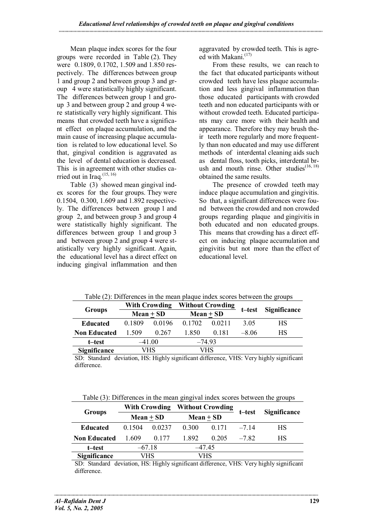Mean plaque index scores for the four groups were recorded in Table (2). They were 0.1809, 0.1702, 1.509 and 1.850 respectively. The differences between group 1 and group 2 and between group 3 and group 4 were statistically highly significant. The differences between group 1 and group 3 and between group 2 and group 4 were statistically very highly significant. This means that crowded teeth have a significant effect on plaque accumulation, and the main cause of increasing plaque accumulation is related to low educational level. So that, gingival condition is aggravated as the level of dental education is decreased. This is in agreement with other studies carried out in Iraq. $(15, 16)$ 

Table (3) showed mean gingival index scores for the four groups. They were 0.1504, 0.300, 1.609 and 1.892 respectively. The differences between group 1 and group 2, and between group 3 and group 4 were statistically highly significant. The differences between group 1 and group 3 and between group 2 and group 4 were statistically very highly significant. Again, the educational level has a direct effect on inducing gingival inflammation and then aggravated by crowded teeth. This is agreed with Makani.<sup>(17)</sup>

From these results, we can reach to the fact that educated participants without crowded teeth have less plaque accumulation and less gingival inflammation than those educated participants with crowded teeth and non educated participants with or without crowded teeth. Educated participants may care more with their health and appearance. Therefore they may brush their teeth more regularly and more frequently than non educated and may use different methods of interdental cleaning aids such as dental floss, tooth picks, interdental brush and mouth rinse. Other studies<sup> $(16, 18)$ </sup> obtained the same results.

The presence of crowded teeth may induce plaque accumulation and gingivitis. So that, a significant differences were found between the crowded and non crowded groups regarding plaque and gingivitis in both educated and non educated groups. This means that crowding has a direct effect on inducing plaque accumulation and gingivitis but not more than the effect of educational level.

|                                                                                                                                                                                                                                                                                                                                                           |             | <b>With Crowding</b> |             | <b>Without Crowding</b> |         |              |  |  |  |
|-----------------------------------------------------------------------------------------------------------------------------------------------------------------------------------------------------------------------------------------------------------------------------------------------------------------------------------------------------------|-------------|----------------------|-------------|-------------------------|---------|--------------|--|--|--|
| <b>Groups</b>                                                                                                                                                                                                                                                                                                                                             | $Mean + SD$ |                      | $Mean + SD$ |                         | t–test  | Significance |  |  |  |
| <b>Educated</b>                                                                                                                                                                                                                                                                                                                                           | 0.1809      | 0.0196               | 0.1702      | 0.0211                  | 3.05    | HS           |  |  |  |
| <b>Non Educated</b>                                                                                                                                                                                                                                                                                                                                       | 1.509       | 0.267                | 1.850       | 0.181                   | $-8.06$ | HS           |  |  |  |
| t–test                                                                                                                                                                                                                                                                                                                                                    | $-41.00$    |                      | $-74.93$    |                         |         |              |  |  |  |
| <b>Significance</b>                                                                                                                                                                                                                                                                                                                                       | VHS         |                      | VHS         |                         |         |              |  |  |  |
| $\mathfrak{S}(\mathbf{D})$ , $\mathfrak{S}_{t+1}$ , $\mathfrak{S}_{t+1}$ , $\mathfrak{S}_{t+1}$ , $\mathfrak{S}_{t+1}$ , $\mathfrak{S}_{t+1}$ , $\mathfrak{S}_{t+1}$ , $\mathfrak{S}_{t+1}$ , $\mathfrak{S}_{t+1}$ , $\mathfrak{S}_{t+1}$ , $\mathfrak{S}_{t+1}$ , $\mathfrak{S}_{t+1}$ , $\mathfrak{S}_{t+1}$ , $\mathfrak{S}_{t+1}$ , $\mathfrak{S}_{t$ |             |                      |             |                         |         |              |  |  |  |

Table (2): Differences in the mean plaque index scores between the groups

SD: Standard deviation, HS: Highly significant difference, VHS: Very highly significant difference.

| Table (3): Differences in the mean gingival index scores between the groups |  |  |
|-----------------------------------------------------------------------------|--|--|
|                                                                             |  |  |

|                     |             | <b>With Crowding</b> | <b>Without Crowding</b> |             |        | Significance |  |
|---------------------|-------------|----------------------|-------------------------|-------------|--------|--------------|--|
| <b>Groups</b>       | $Mean + SD$ |                      |                         | $Mean + SD$ | t–test |              |  |
| <b>Educated</b>     | 0.1504      | 0.0237               | 0.300                   | 0.171       | $-714$ | НS           |  |
| <b>Non Educated</b> | 1.609       | 0.177                | 1892                    | 0.205       | $-782$ | <b>HS</b>    |  |
| t–test              | $-67.18$    |                      | $-47.45$                |             |        |              |  |
| <b>Significance</b> | VHS         |                      | VHS                     |             |        |              |  |

SD: Standard deviation, HS: Highly significant difference, VHS: Very highly significant difference.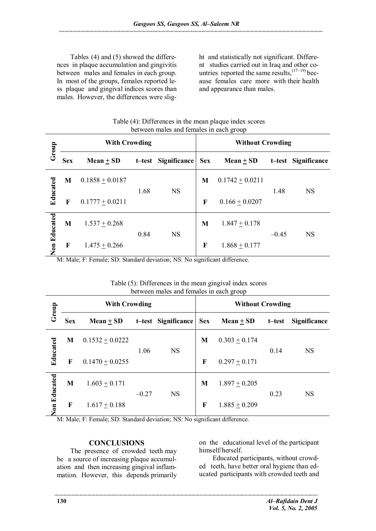Tables (4) and (5) showed the differences in plaque accumulation and gingivitis between males and females in each group. In most of the groups, females reported less plaque and gingival indices scores than males. However, the differences were slight and statistically not significant. Different studies carried out in Iraq and other countries reported the same results,  $(17-19)$  because females care more with their health and appearance than males.

|              |            | <b>With Crowding</b> |      |                         | $\tilde{\phantom{a}}$<br><b>Without Crowding</b> |                     |         |                     |
|--------------|------------|----------------------|------|-------------------------|--------------------------------------------------|---------------------|---------|---------------------|
| Group        | <b>Sex</b> | $Mean + SD$          |      | t-test Significance Sex |                                                  | $Mean + SD$         |         | t-test Significance |
|              | M          | $0.1858 + 0.0187$    |      | <b>NS</b>               | M                                                | $0.1742 \pm 0.0211$ | 1.48    | <b>NS</b>           |
| Educated     | F          | $0.1777 + 0.0211$    | 1.68 |                         | F                                                | $0.166 + 0.0207$    |         |                     |
|              | M          | $1.537 \pm 0.268$    |      |                         | M                                                | $1.847 + 0.178$     | $-0.45$ | <b>NS</b>           |
| Non Educated | F          | $1.475 + 0.266$      | 0.84 | <b>NS</b>               | F                                                | $1.868 + 0.177$     |         |                     |

Table (4): Differences in the mean plaque index scores between males and females in each group

M: Male; F: Female; SD: Standard deviation; NS: No significant difference.

|                     |            | <b>With Crowding</b> |         |                         | $\frac{1}{2}$<br><b>Without Crowding</b> |                   |        |                     |
|---------------------|------------|----------------------|---------|-------------------------|------------------------------------------|-------------------|--------|---------------------|
| Group               | <b>Sex</b> | $Mean + SD$          |         | t-test Significance Sex |                                          | $Mean + SD$       | t–test | <b>Significance</b> |
|                     | M          | $0.1532 + 0.0222$    | 1.06    | <b>NS</b>               | M                                        | $0.303 + 0.174$   | 0.14   | <b>NS</b>           |
| Educated            | F          | $0.1470 \pm 0.0255$  |         |                         | F                                        | $0.297 \pm 0.171$ |        |                     |
|                     | M          | $1.603 + 0.171$      |         |                         | M                                        | $1.897 + 0.205$   |        |                     |
| <b>Non Educated</b> | F          | $1.617 + 0.188$      | $-0.27$ | <b>NS</b>               | $\mathbf F$                              | $1.885 + 0.209$   | 0.23   | <b>NS</b>           |

Table (5): Differences in the mean gingival index scores between males and females in each group

M: Male; F: Female; SD: Standard deviation; NS: No significant difference.

### **CONCLUSIONS**

The presence of crowded teeth may be a source of increasing plaque accumulation and then increasing gingival inflammation. However, this depends primarily

on the educational level of the participant himself/herself.

Educated participants, without crowded teeth, have better oral hygiene than educated participants with crowded teeth and